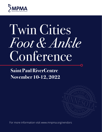

# Twin Cities *Foot & Ankle* Conference

# **Saint Paul RiverCentre November 10-12, 2022**



For more information visit www.mnpma.org/vendors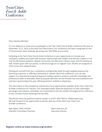

Dear Industry Member:

It is our pleasure to invite you to participate in the Twin Cities Foot & Ankle Conference this year on November 10-12, 2022 at the Saint Paul RiverCentre. Our conference has been recognized as one of the premiere state meetings attracting over 200 DPMs at one event.

Exhibiting at the Twin Cities Foot & Ankle Conference is your opportunity to increase your company's visibility and build solid business relationships with leaders and decision-makers in not only the Minnesota podiatric medical community, but Wisconsin, Illinois, Iowa, and the Dakotas as well. Exhibit space sells out quickly, so we encourage you to register soon. Booths are assigned on a first come, first assigned basis.

Distinguish yourself from your competition and generate leads through targeted exposure by becoming a sponsor or offering a workshop or cadaver lab at the conference. You can also support our educational programming by providing a grant to enhance scientific knowledge and professional skills of attendees. Back by popular demand, are the fireside chat and breakfast/lunch and learn sponsorships this year offering premium visibility to physicians.

The information in this prospectus outlines the many opportunities available at the Twin Cites Foot & Ankle Conference for industry. Our extended breaks allow the physicians to have meaningful exchanges with industry. Attendees are incentivized to visit the vendors throughout the conference to win a variety of prize drawings that we offer.

Should you have any questions please contact us at 651-395-7994 or info@mnpma.org. We look forward to the opportunity to partner with you at the 2022 Twin Cities Foot & Ankle Conference.

Kyle Abben, DPM, FACFAS Scientific Committee Chairman Marit Sivertson, JD Executive Director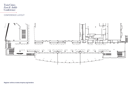### CONFERENCE LAYOUT

 $\overline{\Omega}$ 



Twin Cities *Foot & Ankle* **Conference**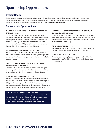### **Exhibit Booth**

Exhibit space is 6'x 10' and includes a 8' skirted table with two chairs, pipe, drape, and pre-and-post conference attendee lists. Space is assigned on a first, come first assigned basis with priority premiere exhibit space given to corporate members and sponsors. The fee does not include breakfast or lunch. **\$1,900 (add \$100 for electricity)**

#### **Sponsorship Opportunities**

#### **THURSDAY EVENING FIRESIDE CHAT FOOD & BEVERAGE SPONSOR - \$6,000**

Be the only exhibit booth at the conference on Thursday to market your products and/services to attendees. Company will be recognized as the sole sponsor of the open bar and buffet dinner on Thursday evening for the fireside chat and case review attended by over 200 podiatric physicians and surgeons. Sponsorship will be promoted on the mobile app.

#### **BADGE HOLDERS/CONFERENCE BAGS — \$1,500**

Be the first and most consistent company seen by meeting attendees. Attendees will wear or carry your logo throughout the conference. Conference bag sponsors may insert one marketing piece in the bag.

#### **FRIDAY EVENING RESIDENT PRESENTATION FOOD & BEVERAGE SPONSOR - \$1,500**

Company will be recognized as the sole sponsor of the open bar and appetizers during the resident presentations on Friday evening. Sponsorship will be promoted on the mobile app.

#### **BOARD OF DIRECTORS DINNER — \$1,000**

Welcome board members to the conference by sponsoring the annual MPMA Board of Director's dinner on Wednesday night at 6:00 p.m. Sponsorship includes a 15 minute presentation to all board members during the dinner, and recognition in the meeting agenda. Sponsor may include promotional material on the table.

#### **DONATE VISIT THE VENDOR GAME PRIZES!**

You will announce the winner of your prize in the ballroom at the end of the day. A sign will be displayed next to your prize at the prize table acknowledging your donation. **Contact MPMA if you are interested in donating a prize.** 

#### **IN-BOOTH FOOD OR BEVERAGE STATION - \$1,000 + Food/ Beverage Costs (limit 3 per day)**

Be the most sought-after booth to visit at the conference! Host a mimosa, bloody mary, or coffee bar or serve warm chocolatechip cookies or other treats at your booth. Sponsorship will be promoted on the mobile app.

#### **PENS AND NOTEPADS - \$500**

Market your company and increase its visibility by sponsoring the conference pens or notepads received by all attendees.

#### **CONFERENCE BAG INSERT — \$250**

Promote your company by supplying a promotional item to be placed in the official Twin Cities Foot & Ankle Conference attendee bags.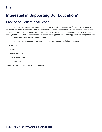# **Interested in Supporting Our Education?**

### Provide an Educational Grant

Educational grants are utilized as a means of enhancing scientific knowledge, professional skills, medical advancement, and delivery of effective health care for the benefit of patients. They are approved and utilized at the sole discretion of the Minnesota Podiatric Medical Association for continuing education activities and comply with Council on Podiatric Medical Education (CPME) guidelines. Grant supporters are recognized in the on-site program guide and mobile conference app.

Educational grants are negotiated on an individual basis and support the following sessions:

- Workshops
- Cadaver Labs
- General Sessions
- Breakfast and Learns
- Lunch and Learns

Contact MPMA to discuss these opportunities!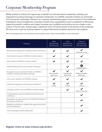# Corporate Membership Program

MPMA extends to industry the opportunity to benefit from the association's leadership, standing, and organization by taking advantage of corporate membership. As a MPMA corporate member you will benefit from the specific advantages offered in our corporate membership program and your position in the healthcare marketplace will be strengthened. Corporate members have unparalleled access to podiatrists in Minnesota. Supporting podiatric medicine and surgery increases your credibility and positions you as a leader in your product or service area. Industry plays a significant role in the advancement of the practice of the profession. We have much to gain by working together to support Minnesota's podiatric physicians and surgeons.

**Features Silver** Membership (\$2,500/year) Gold Membership (\$5,000/year) Platinum Membership (\$10,000/year) Membership mailing list including contact information  $\|\cdot\|$ Unlimited Access Advertisement space in MPMA's monthly e-blasts Subscription to MPMA's monthly e-blasts Half-off exhibit booth at the annual conference the state of the state of the state of the state of the state of the state of the state of the state of the state of the state of the state of the state of the state of the s Upgraded Below Recognition as a corporate member on MPMA's website, including description and logo  $\checkmark$ Silver Member Distinction  $\checkmark$ Gold Member Distinction  $\checkmark$ Platinum Member Distinction Link to your website from MPMA's website Conference bag insert at the annual conference 1 Insert  $\checkmark$ 2 Inserts  $\checkmark$ 2 Inserts Company profile in one of MPMA's monthly e-blasts Plus a Video Clip Complimentary premier exhibit booth at the annual conference Recognition as sole sponsor of a refreshment break at the annual conference Speaking, workshop, or cadaver lab opportunity at the annual conference Two coordinated social media posts

*\*All of the packages below can be tailored to fit your specific needs. Please contact MPMA for more information.*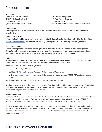## Vendor Information

#### **Addresses**

RiverCentre Physical Location 175 West Kellogg Boulevard St. Paul, MN 55102 (Do not ship freight to this address)

RiverCentre Parking Ramp 150 West Kellogg Boulevard St. Paul, MN 55102 (Across from the RiverCentre, connected via skyway)

#### **Exhibit Space**

Exhibit space is 6' x 10' and includes a 8' skirted table with two chairs, pipe, drape, and pre-and-post conference attendee lists.

#### **Exhibitor Services Kit**

Minnesota Podiatric Medical Association has contracted with Chrom Expo Services. See the Exhibitor Services Kit at www.mnpma.org/vendors for important information, including setup/take-down timing, shipments, and more.

#### **Booth Assignments**

Booths are assigned on a first come, first assigned basis. Preference is given to corporate members and sponsors. Every effort will be made to not place you next to, or across from a competitor, but no guarantees can be made. Booth assignments are subject to change at any time in the sole and absolute discretion of the MPMA.

#### **Hotel**

Minnesota Podiatric Medical Association has reserved a block of rooms at the Saint Paul Hotel, which is conveniently located a block away from the Saint Paul RiverCentre where the conference will be held.

Address: 350 Market Street, Saint Paul, MN 55102

Discounted rate: \$159/night + tax

- Call 800-292-9292 and reference Minnesota Podiatric Medical Association
- Visit www.saintpaulhotel.com, select your arrival and departure dates, and enter 110421TCFA as the group/block code

*Reservations must be made by October 21, 2022 to secure the discounted rate.*

Vendors are required to book their hotel stay at the Saint Paul Hotel under the Minnesota Podiatric Medical Association room block. **No exceptions.** A violation of the requirement will result in exhibit and/or sponsorship forfeiture and prohibition from participating in future MPMA events.

#### **Food and Beverages**

Headwaters Café is conveniently located on the street level of the RiverCentre, which is one level down from the ballroom level where you will be exhibiting. The café is typically open Monday through Friday from 7:30 AM to 2:30 PM. The Headwaters Café features specialty coffees, pastries, and fruit, along with breakfast and lunch service.

Bite-size wrapped candies may be given out at your table. However, candies larger than bite-size may not be distributed. Bottled and canned beverages, food items, snacks, along with other drinkable/edible items may not be distributed by exhibitors within the complex. If you would like to arrange for food and beverage service, you may do so through a sponsorship with MPMA.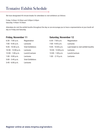# Tentative Exhibit Schedule

We have designated 45 minute breaks for attendees to visit exhibitors as follows:

Friday: 9:45am-10:30am and 3:00pm-3:45pm Saturday: 9:45am-10:30am

Attendees do visit the exhibit booths throughout the day so we encourage you to have a representative at your booth all day on Friday and Saturday.

ö

#### **Friday, November 11**

#### **Saturday, November 12**

| $6:30 - 7:00$ a.m.   | Registration            | $6:30 - 7:00$ a.m.  | Registration                       |
|----------------------|-------------------------|---------------------|------------------------------------|
| $7:00 - 9:45$ a.m.   | Lectures                | $7:00 - 9:45$ a.m.  | Lectures                           |
| $9:45 - 10:30$ a.m.  | <b>Visit Exhibitors</b> | $9:45 - 10:30$ a.m. | Last break to visit exhibit booths |
| $10:30 - 12:00$ p.m. | Lectures                | 10:30 - 12:00 p.m.  | Lectures                           |
| $12:00 - 1:00$ p.m.  | Lunch/Lecture           | $12:00 - 1:00$ p.m. | Lunch/Lecture                      |
| $1:00 - 3:00$ p.m.   | Lectures                | $1:00 - 2:15$ p.m.  | Lectures                           |
| $3:00 - 3:45$ p.m.   | <b>Visit Exhibitors</b> |                     |                                    |
| $3:45 - 6:00$ p.m.   | Lectures                |                     |                                    |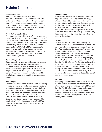#### **Hotel Reservations**

Exhibitors and sponsors who need hotel accommodations must book at the Saint Paul Hotel under the Twin Cities Foot & Ankle Conference room block. Any representative or company who violates this requirement will forfeit their exhibit space and/or sponsorship and will not be allowed to participate in future MPMA conferences or events.

#### **Products/Services Exhibited**

Products or services exhibited or referred to must be those related to the interests and educational values of the Minnesota Podiatric Medical Association ("MPMA") and normally manufactured or supplied by the Exhibitor. Exhibitor may exhibit only those products/ services approved by the MPMA. The MPMA may refuse to accept the Application of any company or person whose display of goods or services is not compatible, in the sole opinion of the MPMA, with the general character and objectives of the MPMA.

#### **Terms of Payment**

Exhibit space is not reserved until payment is received in full by the MPMA. Exhibit space cancelled on or before October 1, 2022 will be refunded all but \$200.00 of the exhibit space fee paid. No refunds will be processed after October 1, 2022. No exceptions. Cancellations must be made by email to the MPMA at info@mnpma.org. Refunds will not be issued to no shows.

#### **Non-Compete**

Exhibitors and sponsors are prohibited from scheduling receptions, dinners, hospitality suites, social functions, product demonstrations, technical seminars, training sessions or other events for individuals attending the Twin Cities Foot & Ankle Conference from November 10, 2022 at 12:00 a.m. to November 12, 2022 at 3:00 p.m. without the written consent of the MPMA. Exhibitors and Sponsors must send their request by email to the MPMA at info@mnpma.org. The MPMA has sole and absolute discretion to deny any such written request.

#### **FDA Regulations**

Exhibitors shall comply with all applicable Food and Drug Administration (FDA) regulations, including, without limitation, FDA restrictions on the promotion of investigational and preapproved drugs and devices and the FDA prohibition on promoting approved drugs and devices for unapproved uses. Any product not FDA-approved for a particular use or not commercially available in the US may be exhibited only if accompanied by easily visible signs indicating the status of the product.

#### **Liability**

The Exhibitor hereby assumes responsibility and agrees to indemnify and defend the MPMA, its officers, members, independent contractors, or staff, and the Saint Paul RiverCentre, its respective officers, owners, agents, members, employees, affiliates, parents, insurers, predecessors, successors, or assigns, against claims or expenses arising out of the use of the exhibition premises, unless the damage or injury is due solely to the willful misconduct of the MPMA or the Saint Paul RiverCentre. The Exhibitor further waives any and all rights it may have against the MPMA and its respective directors, officers, members, agents, employees, independent contractors and successors, and releases and discharges them from any claim relating to Exhibitor's occupancy and use of the exhibit area, or any part thereof.

#### **Insurance**

All property of the Exhibitor is understood to remain under its custody and control in transit to and from and within the confines of the exhibit area. The MPMA and the Saint Paul RiverCentre do not provide insurance covering Exhibitor's property, and Exhibitor expressly waives and releases any claim or demand it may have against them by reason of any damage to or loss of property of the Exhibitor.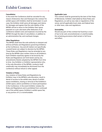#### **Cancellation**

In the event the Conference shall be canceled for any reason whatsoever, then and thereupon the contract for exhibit space with Exhibitor shall be terminated. In such case, the Exhibitor shall waive all damages and claims for damages and agrees that the sole liability of the MPMA will be to return to the Exhibitor their space payment on a pro rata basis after deduction of all conference related costs and expenses incurred by the MPMA through the date of cancellation, in addition to an administrative fee, and overhead charges.

#### **Other Regulations**

The MPMA shall have the sole authority to interpret and enforce all Rules and Regulations governing Exhibitors at the Conference. Any and all matters not specifically covered herein are subject to decision by the MPMA. These Rules and Regulations may be amended at any time by the MPMA upon written notice to all Exhibitors. Each Exhibitor expressly agrees to be bound by the Rules and Regulations set forth herein and by any amendments thereto adopted by the MPMA from time to time. Any Exhibitor or Exhibitor representative who, in the sole discretion of the MPMA, conducts itself unethically may immediately be dismissed from the conference without refund or other appeal.

#### **Violation of Rules**

Any violation of these Rules and Regulations by Exhibitor may, in the MPMA's sole discretion, result in denial of access to the exhibit area, denial of exhibit space installation, closing or removal of the Exhibitor's exhibit space, and/or prohibition on future participation in the Conference. In the event Exhibitor violates the Rules and Regulations and is prohibited from continued use of the exhibit space, Exhibitor's exhibit space fee, or any portion of it, is nonrefundable.

#### **Applicable Laws**

This contract shall be governed by the laws of the State of Minnesota. Exhibitor shall abide by these Rules and Regulations, as well as any rules or regulations of the venue, and all applicable local, state, and federal laws or other laws, rules and regulations.

#### **Severability**

Should any part of this contract be found by a court of law to be void, unconstitutional, or unenforceable, the remaining provisions shall remain in full force and effect.